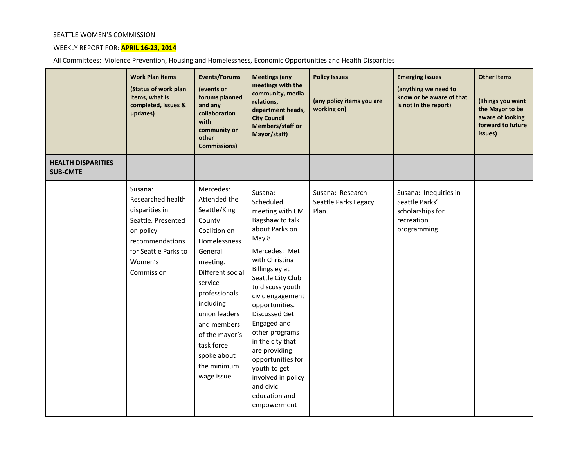## SEATTLE WOMEN'S COMMISSION

## WEEKLY REPORT FOR: **APRIL 16-23, 2014**

All Committees: Violence Prevention, Housing and Homelessness, Economic Opportunities and Health Disparities

|                                              | <b>Work Plan items</b><br>(Status of work plan<br>items, what is<br>completed, issues &<br>updates)                                                   | <b>Events/Forums</b><br>(events or<br>forums planned<br>and any<br>collaboration<br>with<br>community or<br>other<br><b>Commissions)</b>                                                                                                                                            | <b>Meetings (any</b><br>meetings with the<br>community, media<br>relations,<br>department heads,<br><b>City Council</b><br>Members/staff or<br>Mayor/staff)                                                                                                                                                                                                                                                                      | <b>Policy Issues</b><br>(any policy items you are<br>working on) | <b>Emerging issues</b><br>(anything we need to<br>know or be aware of that<br>is not in the report) | <b>Other Items</b><br>(Things you want<br>the Mayor to be<br>aware of looking<br>forward to future<br>issues) |
|----------------------------------------------|-------------------------------------------------------------------------------------------------------------------------------------------------------|-------------------------------------------------------------------------------------------------------------------------------------------------------------------------------------------------------------------------------------------------------------------------------------|----------------------------------------------------------------------------------------------------------------------------------------------------------------------------------------------------------------------------------------------------------------------------------------------------------------------------------------------------------------------------------------------------------------------------------|------------------------------------------------------------------|-----------------------------------------------------------------------------------------------------|---------------------------------------------------------------------------------------------------------------|
| <b>HEALTH DISPARITIES</b><br><b>SUB-CMTE</b> |                                                                                                                                                       |                                                                                                                                                                                                                                                                                     |                                                                                                                                                                                                                                                                                                                                                                                                                                  |                                                                  |                                                                                                     |                                                                                                               |
|                                              | Susana:<br>Researched health<br>disparities in<br>Seattle. Presented<br>on policy<br>recommendations<br>for Seattle Parks to<br>Women's<br>Commission | Mercedes:<br>Attended the<br>Seattle/King<br>County<br>Coalition on<br>Homelessness<br>General<br>meeting.<br>Different social<br>service<br>professionals<br>including<br>union leaders<br>and members<br>of the mayor's<br>task force<br>spoke about<br>the minimum<br>wage issue | Susana:<br>Scheduled<br>meeting with CM<br>Bagshaw to talk<br>about Parks on<br>May 8.<br>Mercedes: Met<br>with Christina<br><b>Billingsley at</b><br>Seattle City Club<br>to discuss youth<br>civic engagement<br>opportunities.<br>Discussed Get<br>Engaged and<br>other programs<br>in the city that<br>are providing<br>opportunities for<br>youth to get<br>involved in policy<br>and civic<br>education and<br>empowerment | Susana: Research<br>Seattle Parks Legacy<br>Plan.                | Susana: Inequities in<br>Seattle Parks'<br>scholarships for<br>recreation<br>programming.           |                                                                                                               |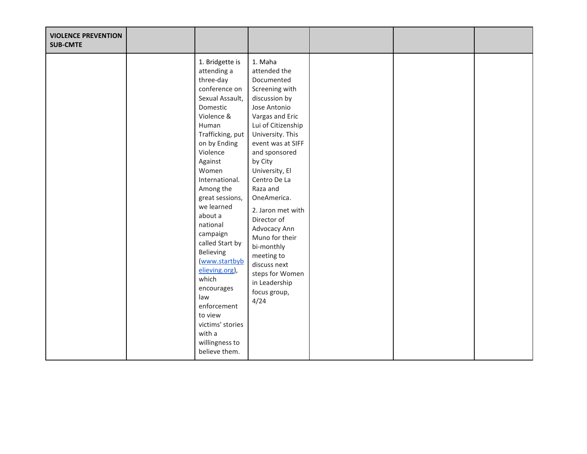| <b>VIOLENCE PREVENTION</b><br><b>SUB-CMTE</b> |                                                                                                                                                                                                                                                                                                                                                                                                                                                                                      |                                                                                                                                                                                                                                                                                                                                                                                                                                                   |  |  |
|-----------------------------------------------|--------------------------------------------------------------------------------------------------------------------------------------------------------------------------------------------------------------------------------------------------------------------------------------------------------------------------------------------------------------------------------------------------------------------------------------------------------------------------------------|---------------------------------------------------------------------------------------------------------------------------------------------------------------------------------------------------------------------------------------------------------------------------------------------------------------------------------------------------------------------------------------------------------------------------------------------------|--|--|
|                                               | 1. Bridgette is<br>attending a<br>three-day<br>conference on<br>Sexual Assault,<br>Domestic<br>Violence &<br>Human<br>Trafficking, put<br>on by Ending<br>Violence<br>Against<br>Women<br>International.<br>Among the<br>great sessions,<br>we learned<br>about a<br>national<br>campaign<br>called Start by<br>Believing<br>www.startbyb<br>elieving.org),<br>which<br>encourages<br>law<br>enforcement<br>to view<br>victims' stories<br>with a<br>willingness to<br>believe them. | 1. Maha<br>attended the<br>Documented<br>Screening with<br>discussion by<br>Jose Antonio<br>Vargas and Eric<br>Lui of Citizenship<br>University. This<br>event was at SIFF<br>and sponsored<br>by City<br>University, El<br>Centro De La<br>Raza and<br>OneAmerica.<br>2. Jaron met with<br>Director of<br>Advocacy Ann<br>Muno for their<br>bi-monthly<br>meeting to<br>discuss next<br>steps for Women<br>in Leadership<br>focus group,<br>4/24 |  |  |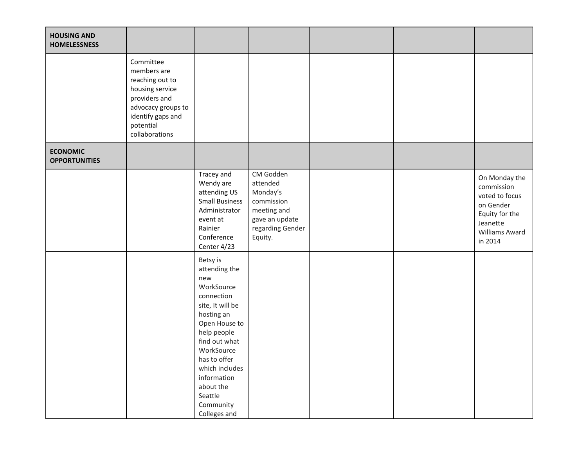| <b>HOUSING AND</b><br><b>HOMELESSNESS</b> |                                                                                                                                                           |                                                                                                                                                                                                                                                                     |                                                                                                                 |  |                                                                                                                       |
|-------------------------------------------|-----------------------------------------------------------------------------------------------------------------------------------------------------------|---------------------------------------------------------------------------------------------------------------------------------------------------------------------------------------------------------------------------------------------------------------------|-----------------------------------------------------------------------------------------------------------------|--|-----------------------------------------------------------------------------------------------------------------------|
|                                           | Committee<br>members are<br>reaching out to<br>housing service<br>providers and<br>advocacy groups to<br>identify gaps and<br>potential<br>collaborations |                                                                                                                                                                                                                                                                     |                                                                                                                 |  |                                                                                                                       |
| <b>ECONOMIC</b><br><b>OPPORTUNITIES</b>   |                                                                                                                                                           |                                                                                                                                                                                                                                                                     |                                                                                                                 |  |                                                                                                                       |
|                                           |                                                                                                                                                           | Tracey and<br>Wendy are<br>attending US<br><b>Small Business</b><br>Administrator<br>event at<br>Rainier<br>Conference<br>Center 4/23                                                                                                                               | CM Godden<br>attended<br>Monday's<br>commission<br>meeting and<br>gave an update<br>regarding Gender<br>Equity. |  | On Monday the<br>commission<br>voted to focus<br>on Gender<br>Equity for the<br>Jeanette<br>Williams Award<br>in 2014 |
|                                           |                                                                                                                                                           | Betsy is<br>attending the<br>new<br>WorkSource<br>connection<br>site, It will be<br>hosting an<br>Open House to<br>help people<br>find out what<br>WorkSource<br>has to offer<br>which includes<br>information<br>about the<br>Seattle<br>Community<br>Colleges and |                                                                                                                 |  |                                                                                                                       |